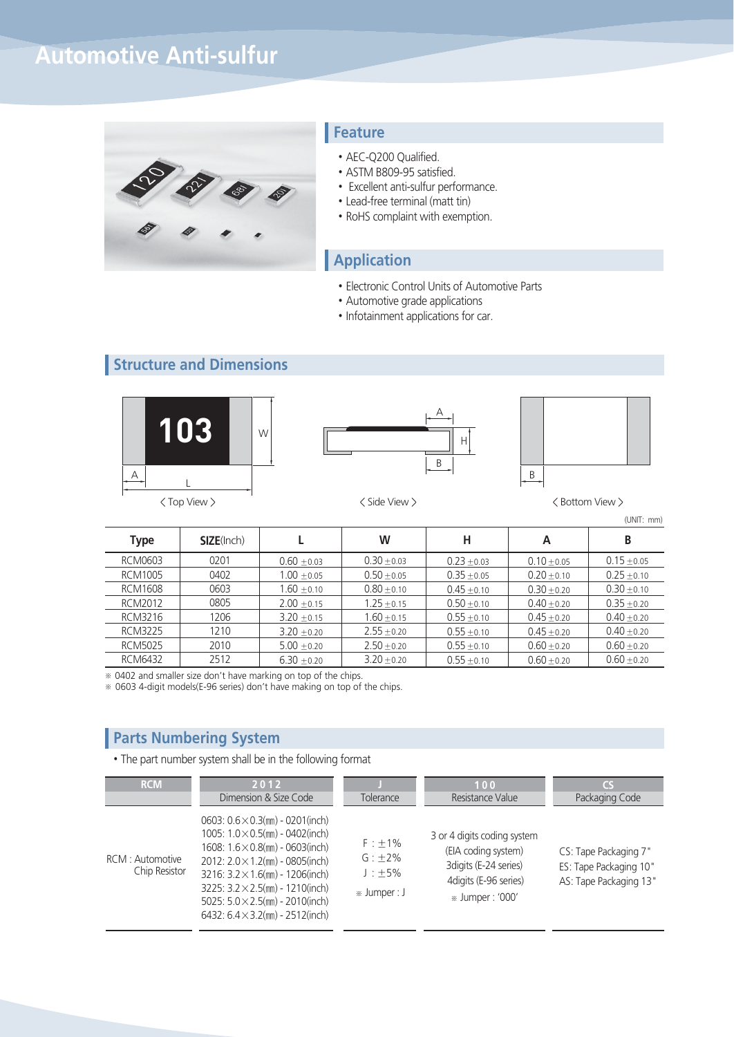## **Automotive Anti-sulfur**



#### **Feature**

- AEC-Q200 Qualified.
- ASTM B809-95 satisfied.
- Excellent anti-sulfur performance.
- Lead-free terminal (matt tin)
- RoHS complaint with exemption.

#### **Application**

- Electronic Control Units of Automotive Parts
- Automotive grade applications
- Infotainment applications for car.

## **Structure and Dimensions**







(UNIT: mm)

| Type           | <b>SIZE(Inch)</b> |               | W             | н             | A               | B             |
|----------------|-------------------|---------------|---------------|---------------|-----------------|---------------|
| RCM0603        | 0201              | $0.60 + 0.03$ | $0.30 + 0.03$ | $0.23 + 0.03$ | $0.10 + 0.05$   | $0.15 + 0.05$ |
| RCM1005        | 0402              | $1.00 + 0.05$ | $0.50 + 0.05$ | $0.35 + 0.05$ | $0.20 \pm 0.10$ | $0.25 + 0.10$ |
| <b>RCM1608</b> | 0603              | $1.60 + 0.10$ | $0.80 + 0.10$ | $0.45 + 0.10$ | $0.30 + 0.20$   | $0.30 + 0.10$ |
| RCM2012        | 0805              | $2.00 + 0.15$ | $1.25 + 0.15$ | $0.50 + 0.10$ | $0.40 + 0.20$   | $0.35 + 0.20$ |
| RCM3216        | 1206              | $3.20 + 0.15$ | $1.60 + 0.15$ | $0.55 + 0.10$ | $0.45 + 0.20$   | $0.40 + 0.20$ |
| <b>RCM3225</b> | 1210              | $3.20 + 0.20$ | $2.55 + 0.20$ | $0.55 + 0.10$ | $0.45 + 0.20$   | $0.40 + 0.20$ |
| <b>RCM5025</b> | 2010              | $5.00 + 0.20$ | $2.50 + 0.20$ | $0.55 + 0.10$ | $0.60 + 0.20$   | $0.60 + 0.20$ |
| <b>RCM6432</b> | 2512              | $6.30 + 0.20$ | $3.20 + 0.20$ | $0.55 + 0.10$ | $0.60 + 0.20$   | $0.60 + 0.20$ |

※ 0402 and smaller size don't have marking on top of the chips.

※ 0603 4-digit models(E-96 series) don't have making on top of the chips.

#### **Parts Numbering System**

• The part number system shall be in the following format

| <b>RCM</b>                        | 2012<br>Dimension & Size Code                                                                                                                                                                                                                                                                                                                                | Tolerance                                             | 100<br>Resistance Value                                                                                                  | CS<br>Packaging Code                                                      |
|-----------------------------------|--------------------------------------------------------------------------------------------------------------------------------------------------------------------------------------------------------------------------------------------------------------------------------------------------------------------------------------------------------------|-------------------------------------------------------|--------------------------------------------------------------------------------------------------------------------------|---------------------------------------------------------------------------|
| RCM : Automotive<br>Chip Resistor | 0603: $0.6 \times 0.3$ (mm) - 0201(inch)<br>1005: $1.0 \times 0.5$ (mm) - 0402(inch)<br>$1608: 1.6 \times 0.8$ (mm) - 0603(inch)<br>2012: $2.0 \times 1.2$ (mm) - 0805(inch)<br>3216: $3.2 \times 1.6$ (mm) - 1206(inch)<br>3225: $3.2 \times 2.5$ (mm) - 1210(inch)<br>5025: $5.0 \times 2.5$ (mm) - 2010(inch)<br>6432: $6.4 \times 3.2$ (mm) - 2512(inch) | $F : +1\%$<br>$G: +2\%$<br>$J : +5\%$<br>» Jumper : J | 3 or 4 digits coding system<br>(EIA coding system)<br>3 digits (E-24 series)<br>4digits (E-96 series)<br>» Jumper: '000' | CS: Tape Packaging 7"<br>ES: Tape Packaging 10"<br>AS: Tape Packaging 13" |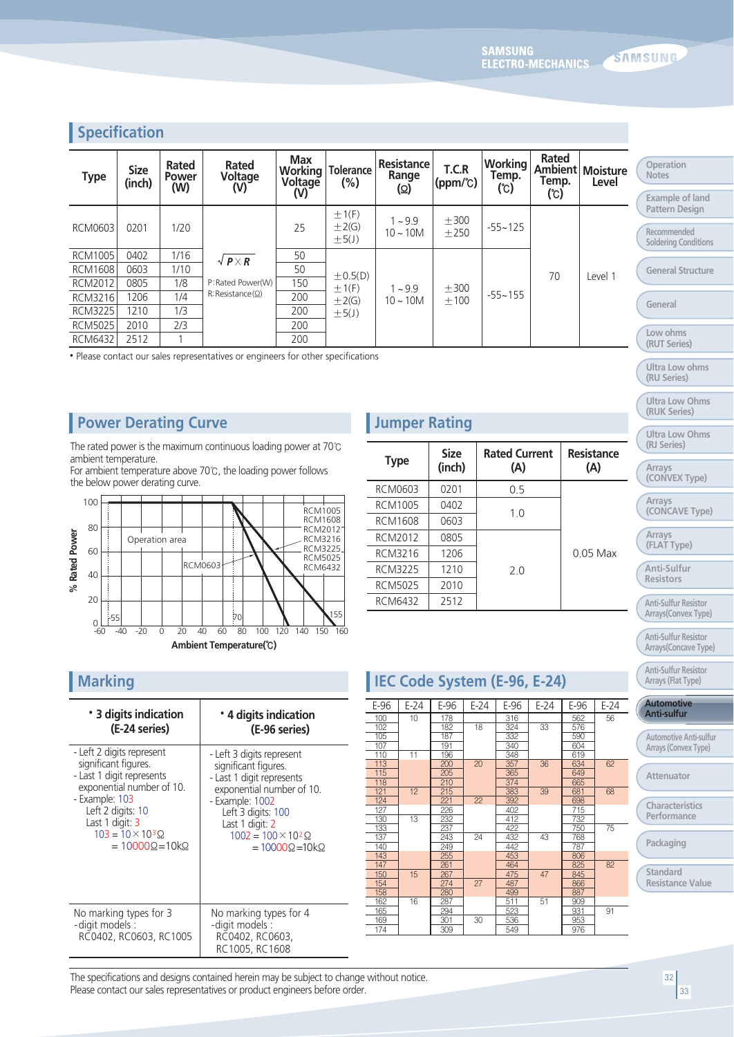### **Specification**

| <b>Type</b>    | <b>Size</b><br>(inch) | Rated<br><b>Power</b><br>(W) | Rated<br>Voltage<br>(V) | <b>Max</b><br>Working<br>Voltage<br>(V) | <b>Tolerance</b><br>$(\% )$            | Resistance<br>Range<br>(ဂ္ဂ) | T.C.R<br>(ppm/°C) | <b>Working</b><br>Temp.<br>(C) | Rated<br><b>Ambient</b><br>Temp.<br>$(\mathrm{C})$ | <b>Moisture</b><br>Level | Operation<br><b>Notes</b><br>Example o  |
|----------------|-----------------------|------------------------------|-------------------------|-----------------------------------------|----------------------------------------|------------------------------|-------------------|--------------------------------|----------------------------------------------------|--------------------------|-----------------------------------------|
| <b>RCM0603</b> | 0201                  | 1/20                         |                         | 25                                      | $\pm$ 1(F)<br>$\pm 2(G)$<br>$\pm$ 5(J) | $1 - 9.9$<br>$10 - 10M$      | $+300$<br>$+250$  | $-55 - 125$                    |                                                    |                          | Pattern De<br>Recommend<br>Soldering Co |
| <b>RCM1005</b> | 0402                  | 1/16                         | $\sqrt{P \times R}$     | 50                                      |                                        |                              |                   |                                |                                                    |                          |                                         |
| <b>RCM1608</b> | 0603                  | 1/10                         |                         | 50<br>$\pm$ 0.5(D)                      |                                        |                              |                   | 70                             | Level 1                                            | <b>General St</b>        |                                         |
| <b>RCM2012</b> | 0805                  | 1/8                          | P: Rated Power(W)       | 150                                     | ±1(F)                                  | $1 - 9.9$                    | ±300              | $-55 - 155$                    |                                                    |                          |                                         |
| <b>RCM3216</b> | 1206                  | 1/4                          | R:Resistance(Q)         | 200                                     | $\pm 2(G)$                             | $10 \sim 10M$                | $+100$            |                                |                                                    |                          | General                                 |
| <b>RCM3225</b> | 1210                  | 1/3                          |                         | 200                                     | $\pm$ 5(J)                             |                              |                   |                                |                                                    |                          |                                         |
| <b>RCM5025</b> | 2010                  | 2/3                          |                         | 200                                     |                                        |                              |                   |                                |                                                    |                          |                                         |
| <b>RCM6432</b> | 2512                  |                              |                         | 200                                     |                                        |                              |                   |                                |                                                    |                          | Low ohms<br>(RUT Serie                  |

• Please contact our sales representatives or engineers for other specifications

#### **Power Derating Curve**

The rated power is the maximum continuous loading power at 70℃ ambient temperature.

For ambient temperature above 70℃, the loading power follows the below power derating curve.



## **Jumper Rating**

| <b>Type</b>    | <b>Size</b><br>(inch) | <b>Rated Current</b><br>(A) | Resistance<br>(A) |  |
|----------------|-----------------------|-----------------------------|-------------------|--|
| RCM0603        | 0201                  | 0.5                         |                   |  |
| <b>RCM1005</b> | 0402                  | 1.0                         |                   |  |
| RCM1608        | 0603                  |                             |                   |  |
| RCM2012        | 0805                  |                             |                   |  |
| RCM3216        | 1206                  |                             | $0.05$ Max        |  |
| <b>RCM3225</b> | 1210                  | 2.0                         |                   |  |
| <b>RCM5025</b> | 2010                  |                             |                   |  |
| RCM6432        | 2512                  |                             |                   |  |

| * 3 digits indication                                                | * 4 digits indication                                                          |
|----------------------------------------------------------------------|--------------------------------------------------------------------------------|
| (E-24 series)                                                        | (E-96 series)                                                                  |
| - Left 2 digits represent                                            | - Left 3 digits represent                                                      |
| significant figures.                                                 | significant figures.                                                           |
| - Last 1 digit represents                                            | - Last 1 digit represents                                                      |
| exponential number of 10.                                            | exponential number of 10.                                                      |
| - Example: 103                                                       | - Example: 1002                                                                |
| Left 2 digits: 10                                                    | Left 3 digits: 100                                                             |
| Last 1 digit: 3                                                      | Last 1 digit: 2                                                                |
| $103 = 10 \times 10^{3} \Omega$                                      | $1002 = 100 \times 10^{2} \Omega$                                              |
| $= 10000\Omega = 10k\Omega$                                          | $=10000\Omega$ = 10 k $\Omega$                                                 |
| No marking types for 3<br>- digit models :<br>RC0402, RC0603, RC1005 | No marking types for 4<br>-digit models :<br>RC0402, RC0603,<br>RC1005, RC1608 |

# **Marking Marking Code System (E-96, E-24)**

| E-96 | $E-24$ | E-96 | $E-24$ | E-96 | $E-24$ | E-96 | E-24 |
|------|--------|------|--------|------|--------|------|------|
| 100  | 10     | 178  |        | 316  |        | 562  | 56   |
| 102  |        | 182  | 18     | 324  | 33     | 576  |      |
| 105  |        | 187  |        | 332  |        | 590  |      |
| 107  |        | 191  |        | 340  |        | 604  |      |
| 110  | 11     | 196  |        | 348  |        | 619  |      |
| 113  |        | 200  | 20     | 357  | 36     | 634  | 62   |
| 115  |        | 205  |        | 365  |        | 649  |      |
| 118  |        | 210  |        | 374  |        | 665  |      |
| 121  | 12     | 215  |        | 383  | 39     | 681  | 68   |
| 124  |        | 221  | 22     | 392  |        | 698  |      |
| 127  |        | 226  |        | 402  |        | 715  |      |
| 130  | 13     | 232  |        | 412  |        | 732  |      |
| 133  |        | 237  |        | 422  |        | 750  | 75   |
| 137  |        | 243  | 24     | 432  | 43     | 768  |      |
| 140  |        | 249  |        | 442  |        | 787  |      |
| 143  |        | 255  |        | 453  |        | 806  |      |
| 147  |        | 261  |        | 464  |        | 825  | 82   |
| 150  | 15     | 267  |        | 475  | 47     | 845  |      |
| 154  |        | 274  | 27     | 487  |        | 866  |      |
| 158  |        | 280  |        | 499  |        | 887  |      |
| 162  | 16     | 287  |        | 511  | 51     | 909  |      |
| 165  |        | 294  |        | 523  |        | 931  | 91   |
| 169  |        | 301  | 30     | 536  |        | 953  |      |
| 174  |        | 309  |        | 549  |        | 976  |      |
|      |        |      |        |      |        |      |      |

**Example of land Pattern Design**

**Recommended Soldering Conditions**

**General Structure**

**Low ohms**

**(RUT Series)**

**Ultra Low ohms (RU Series)**

**Ultra Low Ohms (RUK Series)**

**Ultra Low Ohms (RJ Series)**

**Arrays**

**(CONVEX Type)**

**Arrays (CONCAVE Type)**

**Arrays**

**(FLAT Type)**

**Anti-Sulfur Resistors**

**Anti-Sulfur Resistor Arrays(Convex Type)**

**Anti-Sulfur Resistor Arrays(Concave Type)**

**Anti-Sulfur Resistor Arrays (Flat Type)**

#### **Automotive Anti-sulfur**

**Automotive Anti-sulfur Arrays (Convex Type)**

**Attenuator**

**Characteristics Performance** 

**Packaging**

**Standard Resistance Value**

The specifications and designs contained herein may be subject to change without notice. Please contact our sales representatives or product engineers before order.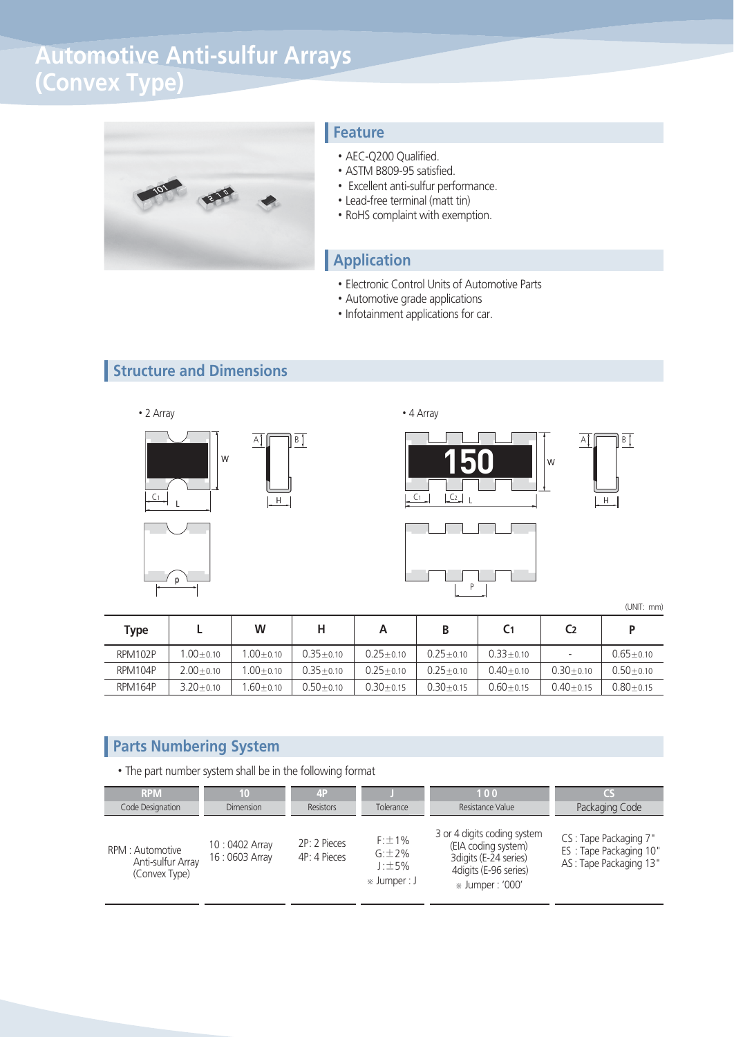# **Automotive Anti-sulfur Arrays (Convex Type)**



#### **Feature**

- AEC-Q200 Qualified.
- ASTM B809-95 satisfied.
- Excellent anti-sulfur performance.
- Lead-free terminal (matt tin)
- RoHS complaint with exemption.

#### **Application**

- Electronic Control Units of Automotive Parts
- Automotive grade applications
- Infotainment applications for car.

### **Structure and Dimensions**







(UNIT: mm)

| Type    |               | w             |               |               |               | C <sub>1</sub> | C <sub>2</sub>           |               |
|---------|---------------|---------------|---------------|---------------|---------------|----------------|--------------------------|---------------|
| RPM102P | $.00 + 0.10$  | $1.00 + 0.10$ | $0.35 + 0.10$ | $0.25 + 0.10$ | $0.25 + 0.10$ | $0.33 + 0.10$  | $\overline{\phantom{0}}$ | $0.65 + 0.10$ |
| RPM104P | $2.00 + 0.10$ | $1.00 + 0.10$ | $0.35 + 0.10$ | $0.25 + 0.10$ | $0.25 + 0.10$ | $0.40 + 0.10$  | $0.30 + 0.10$            | $0.50 + 0.10$ |
| RPM164P | $3.20 + 0.10$ | $1.60 + 0.10$ | $0.50 + 0.10$ | $0.30 + 0.15$ | $0.30 + 0.15$ | $0.60 + 0.15$  | $0.40 + 0.15$            | $0.80 + 0.15$ |

#### **Parts Numbering System**

p

• The part number system shall be in the following format

| <b>RPM</b>                                             | 10                             | 4P                           | Tolerance                                                | 100                                                                                                                      | CS                                                                        |
|--------------------------------------------------------|--------------------------------|------------------------------|----------------------------------------------------------|--------------------------------------------------------------------------------------------------------------------------|---------------------------------------------------------------------------|
| Code Designation                                       | <b>Dimension</b>               | <b>Resistors</b>             |                                                          | Resistance Value                                                                                                         | Packaging Code                                                            |
| RPM : Automotive<br>Anti-sulfur Array<br>(Convex Type) | 10:0402 Array<br>16:0603 Array | 2P: 2 Pieces<br>4P: 4 Pieces | $F: \pm 1\%$<br>$G: 2\%$<br>$J: \pm 5\%$<br>» Jumper : J | 3 or 4 digits coding system<br>(EIA coding system)<br>3 digits (E-24 series)<br>4digits (E-96 series)<br>» Jumper: '000' | CS: Tape Packaging 7"<br>ES: Tape Packaging 10"<br>AS: Tape Packaging 13" |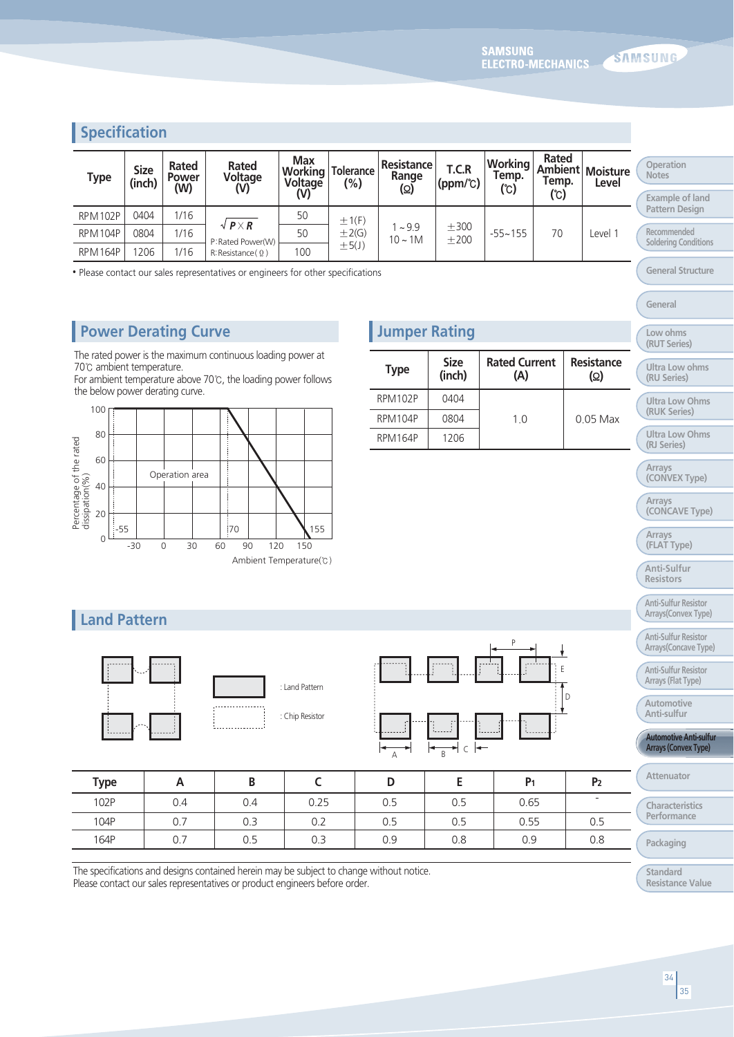#### **Specification**

| <b>Type</b>    | <b>Size</b><br>(inch) | Rated<br><b>Power</b><br>(W) | Rated<br>Voltage<br>(V)                  | <b>Max</b><br><b>Working</b><br>Voltage<br>(V) | <b>Tolerance</b><br>$(\% )$ | Resistance<br>Range<br>(Ω) | T.C.R<br>$(ppm/\text{C})$ | <b>Working</b><br>Temp.<br>(℃) | Rated<br>Temp. | <b>Ambient Moisture</b><br>Level | Operation<br><b>Notes</b>           |
|----------------|-----------------------|------------------------------|------------------------------------------|------------------------------------------------|-----------------------------|----------------------------|---------------------------|--------------------------------|----------------|----------------------------------|-------------------------------------|
|                |                       |                              |                                          |                                                |                             |                            |                           |                                | (C)            |                                  | Example of land                     |
| <b>RPM102P</b> | 0404                  | 1/16                         |                                          | 50                                             | ±1(F)                       |                            |                           |                                |                |                                  | Pattern Design                      |
| <b>RPM104P</b> | 0804                  | 1/16                         | $\sqrt{P \times R}$<br>P: Rated Power(W) | 50                                             | $\pm 2(G)$                  | ~29.9<br>$10 - 1M$         | ±300<br>$+200$            | $-55 - 155$                    | 70             | evel 1                           | Recommended<br>Soldering Conditions |
| <b>RPM164P</b> | 206                   | 1/16                         | R:Resistance(Q)                          | 100                                            | ±5(J)                       |                            |                           |                                |                |                                  |                                     |

• Please contact our sales representatives or engineers for other specifications

#### **Power Derating Curve Calculate 1 Service 2 Alternative Rating**

The rated power is the maximum continuous loading power at 70℃ ambient temperature.

For ambient temperature above 70℃, the loading power follows the below power derating curve.



| <b>Type</b> | <b>Size</b><br>(inch) | <b>Rated Current</b><br>(A) | Resistance<br>(Ω) |
|-------------|-----------------------|-----------------------------|-------------------|
| RPM102P     | 0404                  |                             |                   |
| RPM104P     | 0804                  | 1.0                         | $0.05$ Max        |
| RPM164P     | 1206                  |                             |                   |

| (RUT Series)                  |
|-------------------------------|
| Ultra Low ohms<br>(RU Series) |
|                               |
| Ultra Low Ohms                |

**General Structure**

**General**

**Low ohms**

#### **Ultra Low Ohms (RJ Series)**

**(RUK Series)**

**Arrays**

**(CONVEX Type)**

**Arrays (CONCAVE Type)**

**Arrays**

**(FLAT Type)**

**Anti-Sulfur Resistors**

**Anti-Sulfur Resistor Arrays(Convex Type)**

**Anti-Sulfur Resistor**

**Arrays(Concave Type)**

**Anti-Sulfur Resistor Arrays (Flat Type)**

**Automotive Anti-sulfur**

**Automotive Anti-sulfur Arrays (Convex Type)**

**Attenuator**

**Characteristics Performance** 

**Packaging**

**Standard Resistance Value**

#### **Land Pattern**



| : Land Pattern  |  |
|-----------------|--|
| : Chip Resistor |  |



| <b>Type</b> | r   | ՝   |      |     |     | P <sub>1</sub> | P <sub>2</sub> |
|-------------|-----|-----|------|-----|-----|----------------|----------------|
| 102P        | 0.4 | 0.4 | 0.25 | 0.5 | 0.5 | 0.65           |                |
| 104P        | 0.7 | 0.3 | 0.2  | 0.5 | 0.5 | 0.55           | 0.5            |
| 164P        | 0.7 | 0.5 | 0.3  | 0.9 | 0.8 | 0.9            | 0.8            |

The specifications and designs contained herein may be subject to change without notice. Please contact our sales representatives or product engineers before order.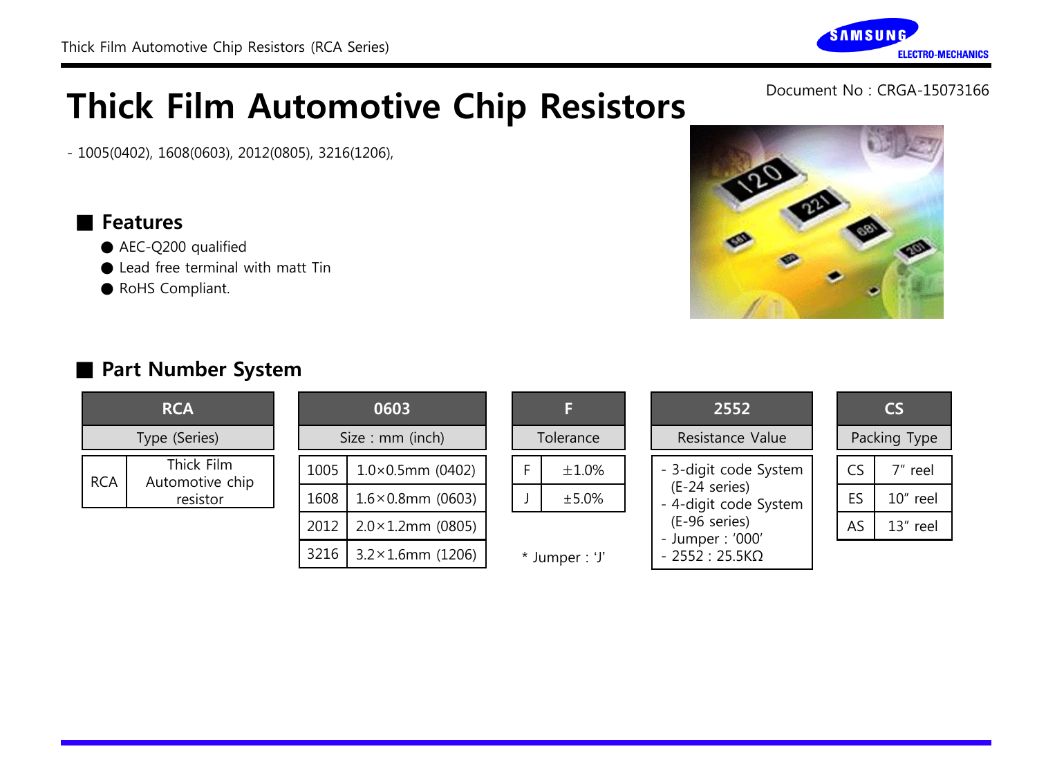- 1005(0402), 1608(0603), 2012(0805), 3216(1206),

#### ■ Features

- AEC-Q200 qualified
- Lead free terminal with matt Tin
- RoHS Compliant.



|  |   | F           |
|--|---|-------------|
|  |   | Tolerance   |
|  | F | $\pm 1.0\%$ |
|  |   | ±5.0%       |
|  |   |             |

\* Jumper : 'J'

| 2552                                   | CS. |           |              |  |
|----------------------------------------|-----|-----------|--------------|--|
| Resistance Value                       |     |           | Packing Type |  |
| - 3-digit code System                  |     | CS        | 7" reel      |  |
| (E-24 series)<br>- 4-digit code System |     | <b>FS</b> | 10" reel     |  |
| (E-96 series)<br>- Jumper: '000'       |     | AS.       | 13" reel     |  |
|                                        |     |           |              |  |

- 2552 : 25.5KΩ

## Part Number System

Thick Film Automotive chip resistor

**RCA** 

Type (Series)

RCA



#### **AMSUNG ELECTRO-MECHANICS**

Document No : CRGA-15073166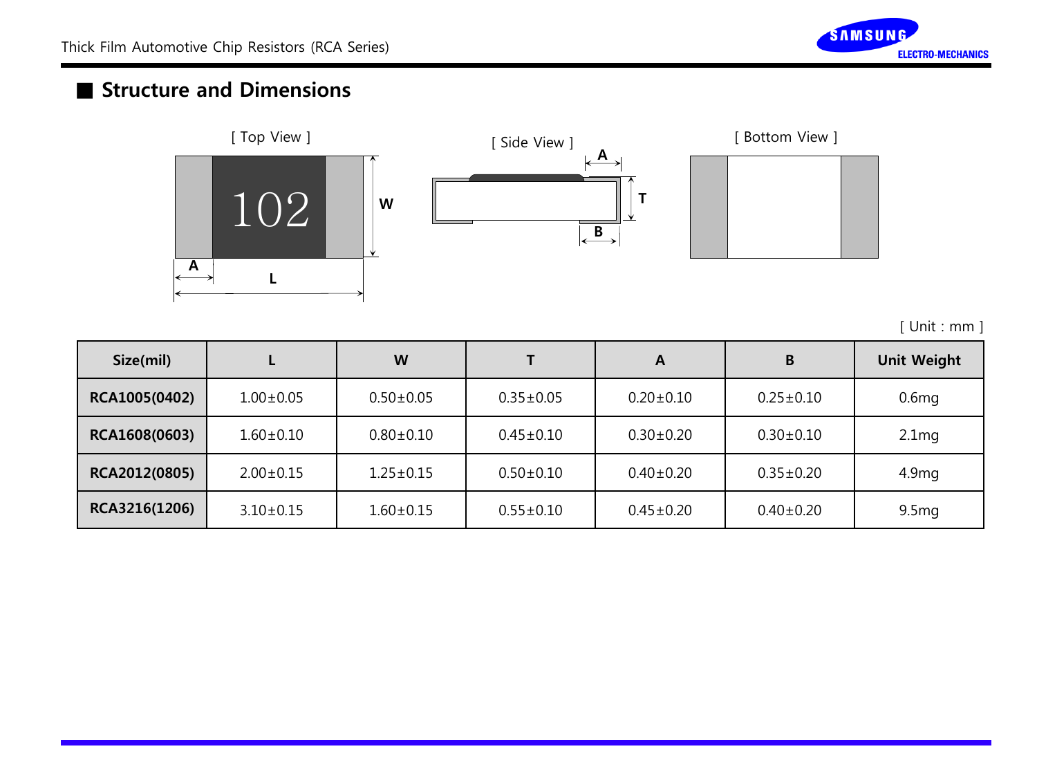

### ■ Structure and Dimensions







[ Unit : mm ]

| Size(mil)     |                 | W               |                 | A               | B               | <b>Unit Weight</b> |
|---------------|-----------------|-----------------|-----------------|-----------------|-----------------|--------------------|
| RCA1005(0402) | $1.00 \pm 0.05$ | $0.50 \pm 0.05$ | $0.35 \pm 0.05$ | $0.20 \pm 0.10$ | $0.25 \pm 0.10$ | 0.6 <sub>mg</sub>  |
| RCA1608(0603) | $1.60 \pm 0.10$ | $0.80 \pm 0.10$ | $0.45 \pm 0.10$ | $0.30 \pm 0.20$ | $0.30 \pm 0.10$ | 2.1 <sub>mg</sub>  |
| RCA2012(0805) | $2.00 \pm 0.15$ | $1.25 \pm 0.15$ | $0.50 \pm 0.10$ | $0.40 \pm 0.20$ | $0.35 \pm 0.20$ | 4.9 <sub>mg</sub>  |
| RCA3216(1206) | $3.10 \pm 0.15$ | $1.60 \pm 0.15$ | $0.55 \pm 0.10$ | $0.45 \pm 0.20$ | $0.40 \pm 0.20$ | 9.5 <sub>mg</sub>  |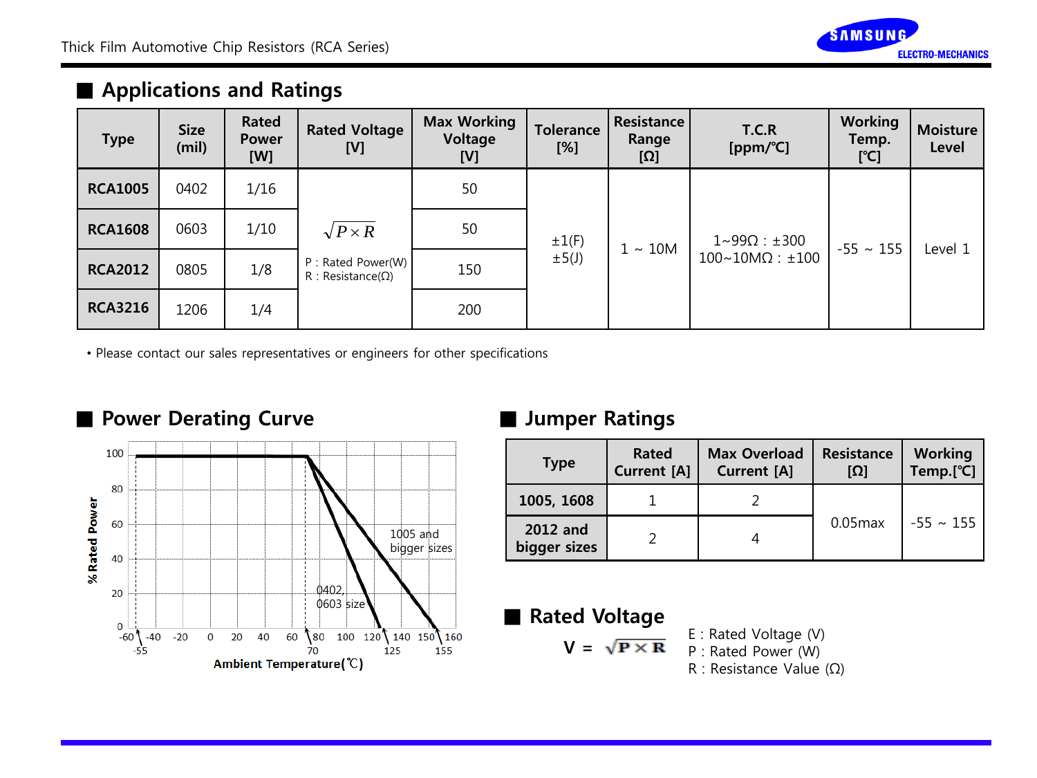

### ■ Applications and Ratings

| <b>Type</b>    | <b>Size</b><br>(mil) | Rated<br><b>Power</b><br>[W] | <b>Rated Voltage</b><br>[V]                   | <b>Max Working</b><br>Voltage<br>[V] | <b>Tolerance</b><br>[%] | <b>Resistance</b><br>Range<br>[Ω] | <b>T.C.R</b><br>[ppm/°C]                | Working<br>Temp.<br>[°C] | <b>Moisture</b><br>Level |
|----------------|----------------------|------------------------------|-----------------------------------------------|--------------------------------------|-------------------------|-----------------------------------|-----------------------------------------|--------------------------|--------------------------|
| <b>RCA1005</b> | 0402                 | 1/16                         |                                               | 50                                   |                         |                                   |                                         |                          |                          |
| <b>RCA1608</b> | 0603                 | 1/10                         | $\sqrt{P \times R}$                           | 50                                   | $\pm 1(F)$              |                                   | 1~990 : ±300                            |                          | Level 1                  |
| <b>RCA2012</b> | 0805                 | 1/8                          | P: Rated Power(W)<br>$R : Resistance(\Omega)$ | 150                                  | $\pm 5(J)$              |                                   | $1 \sim 10M$<br>$100~10 M\Omega$ : ±100 | $-55 \sim 155$           |                          |
| <b>RCA3216</b> | 1206                 | 1/4                          |                                               | 200                                  |                         |                                   |                                         |                          |                          |

• Please contact our sales representatives or engineers for other specifications



| <b>Type</b>              | Rated<br><b>Current</b> [A] | <b>Max Overload</b><br><b>Current [A]</b> | <b>Resistance</b><br>וΩן | <b>Working</b><br>Temp.[°C] |  |
|--------------------------|-----------------------------|-------------------------------------------|--------------------------|-----------------------------|--|
| 1005, 1608               |                             |                                           |                          |                             |  |
| 2012 and<br>bigger sizes |                             |                                           | $0.05$ max               | $-55 \sim 155$              |  |

### ■ Rated Voltage

- $V = \sqrt{P \times R}$
- E : Rated Voltage (V) P : Rated Power (W)
	- R : Resistance Value (Ω)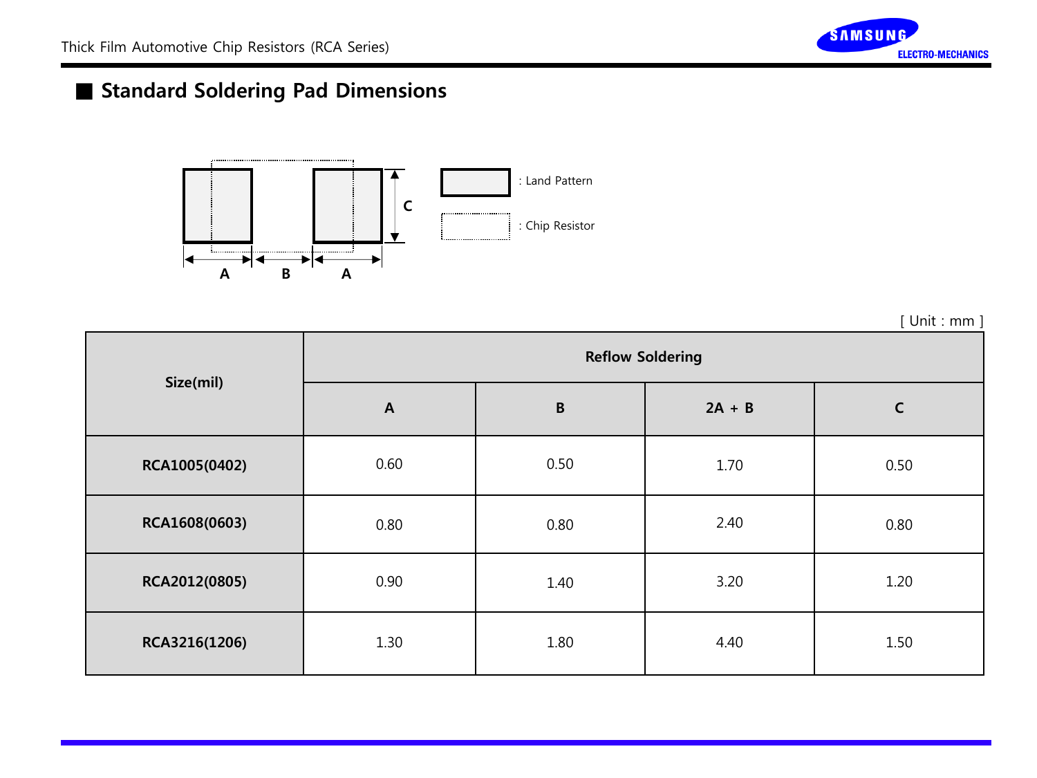

## ■ Standard Soldering Pad Dimensions



[ Unit : mm ]

| Size(mil)     | <b>Reflow Soldering</b> |              |          |              |  |  |
|---------------|-------------------------|--------------|----------|--------------|--|--|
|               | $\boldsymbol{A}$        | $\, {\bf B}$ | $2A + B$ | $\mathsf{C}$ |  |  |
| RCA1005(0402) | 0.60                    | 0.50         | 1.70     | 0.50         |  |  |
| RCA1608(0603) | 0.80                    | 0.80         | 2.40     | 0.80         |  |  |
| RCA2012(0805) | 0.90                    | 1.40         | 3.20     | 1.20         |  |  |
| RCA3216(1206) | 1.30                    | 1.80         | 4.40     | 1.50         |  |  |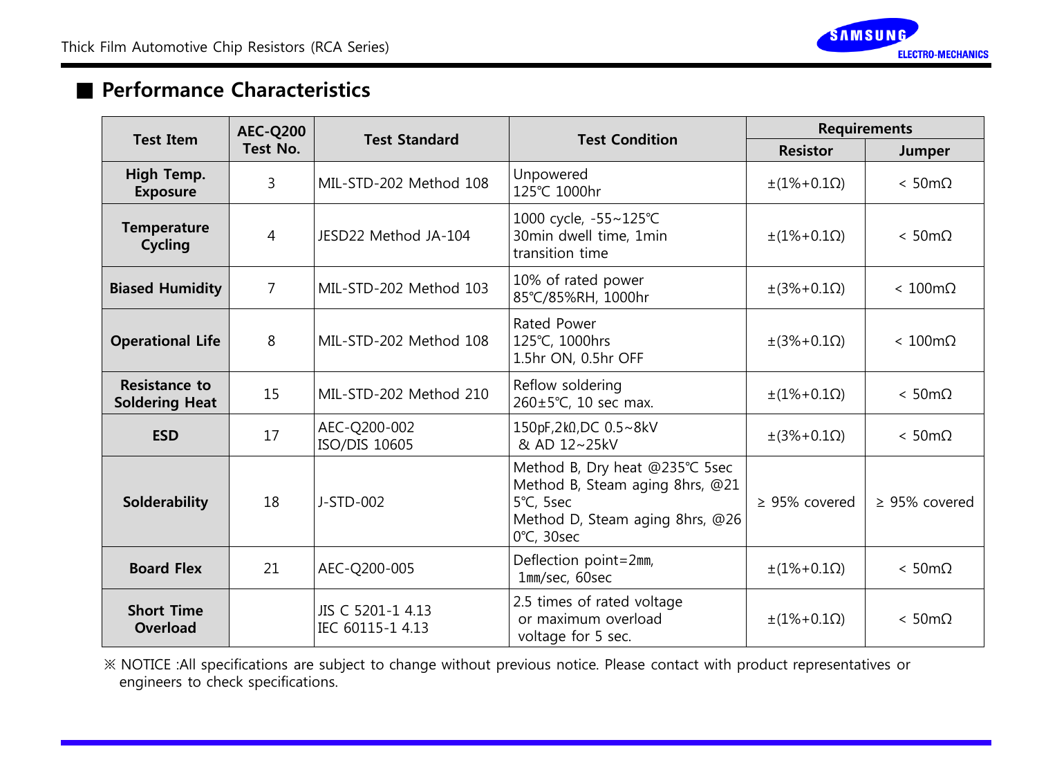

### ■ Performance Characteristics

| <b>Test Item</b>                              | <b>AEC-Q200</b> |                                       | <b>Test Condition</b>                                                                                                                    | <b>Requirements</b>    |                        |  |
|-----------------------------------------------|-----------------|---------------------------------------|------------------------------------------------------------------------------------------------------------------------------------------|------------------------|------------------------|--|
|                                               | Test No.        | <b>Test Standard</b>                  |                                                                                                                                          | <b>Resistor</b>        | Jumper                 |  |
| High Temp.<br><b>Exposure</b>                 | 3               | MIL-STD-202 Method 108                | Unpowered<br>125℃ 1000hr                                                                                                                 | $\pm(1\% + 0.1\Omega)$ | $< 50 \text{m}\Omega$  |  |
| <b>Temperature</b><br>Cycling                 | 4               | JESD22 Method JA-104                  | 1000 cycle, -55~125℃<br>30min dwell time, 1min<br>transition time                                                                        | $\pm(1\% + 0.1\Omega)$ | $< 50 \text{m}\Omega$  |  |
| <b>Biased Humidity</b>                        | 7               | MIL-STD-202 Method 103                | 10% of rated power<br>85°C/85%RH, 1000hr                                                                                                 | $\pm(3\% + 0.1\Omega)$ | $< 100 \text{m}\Omega$ |  |
| <b>Operational Life</b>                       | 8               | MIL-STD-202 Method 108                | Rated Power<br>125℃, 1000hrs<br>1.5hr ON, 0.5hr OFF                                                                                      | $\pm(3\% + 0.1\Omega)$ | $< 100 \text{m}\Omega$ |  |
| <b>Resistance to</b><br><b>Soldering Heat</b> | 15              | MIL-STD-202 Method 210                | Reflow soldering<br>260±5℃, 10 sec max.                                                                                                  | $\pm(1\% + 0.1\Omega)$ | $< 50 \text{m}\Omega$  |  |
| <b>ESD</b>                                    | 17              | AEC-Q200-002<br>ISO/DIS 10605         | 150pF,2k0,DC 0.5~8kV<br>& AD 12~25kV                                                                                                     | $\pm(3\% + 0.1\Omega)$ | $< 50 \text{m}\Omega$  |  |
| Solderability                                 | 18              | J-STD-002                             | Method B, Dry heat @235℃ 5sec<br>Method B, Steam aging 8hrs, @21<br>5°C, 5sec<br>Method D, Steam aging 8hrs, @26<br>$0^{\circ}$ C, 30sec | $\geq$ 95% covered     | $\geq$ 95% covered     |  |
| <b>Board Flex</b>                             | 21              | AEC-Q200-005                          | Deflection point=2mm,<br>1mm/sec, 60sec                                                                                                  | $\pm(1\% + 0.1\Omega)$ | $< 50 \text{m}\Omega$  |  |
| <b>Short Time</b><br>Overload                 |                 | JIS C 5201-1 4.13<br>IEC 60115-1 4.13 | 2.5 times of rated voltage<br>or maximum overload<br>voltage for 5 sec.                                                                  | $\pm(1\% + 0.1\Omega)$ | $< 50 \text{m}\Omega$  |  |

※ NOTICE :All specifications are subject to change without previous notice. Please contact with product representatives or engineers to check specifications.